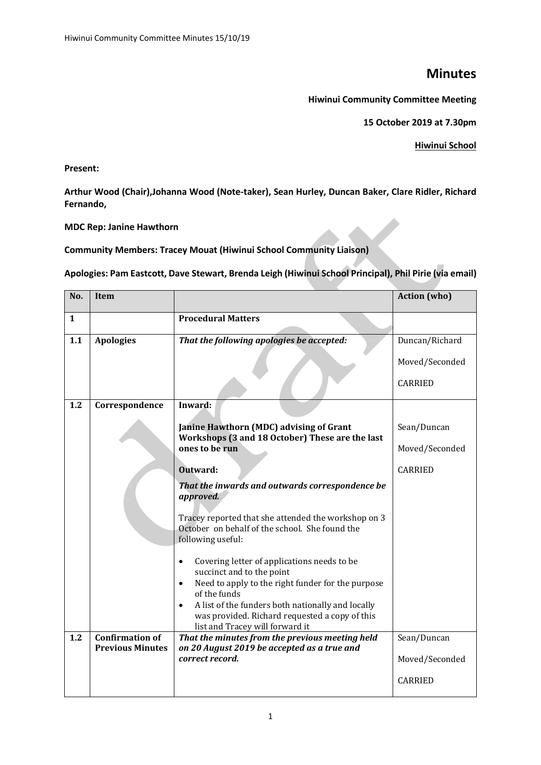## **Minutes**

**Hiwinui Community Committee Meeting**

**15 October 2019 at 7.30pm** 

**Hiwinui School**

**Present:**

**Arthur Wood (Chair),Johanna Wood (Note-taker), Sean Hurley, Duncan Baker, Clare Ridler, Richard Fernando,**

## **MDC Rep: Janine Hawthorn**

**Community Members: Tracey Mouat (Hiwinui School Community Liaison)**

**Apologies: Pam Eastcott, Dave Stewart, Brenda Leigh (Hiwinui School Principal), Phil Pirie (via email)**

| No. | Item                                              |                                                                                                                                                     | <b>Action</b> (who) |
|-----|---------------------------------------------------|-----------------------------------------------------------------------------------------------------------------------------------------------------|---------------------|
| 1   |                                                   | <b>Procedural Matters</b>                                                                                                                           |                     |
| 1.1 | <b>Apologies</b>                                  | That the following apologies be accepted:                                                                                                           | Duncan/Richard      |
|     |                                                   |                                                                                                                                                     | Moved/Seconded      |
|     |                                                   |                                                                                                                                                     | <b>CARRIED</b>      |
| 1.2 | Correspondence                                    | Inward:                                                                                                                                             |                     |
|     |                                                   | Janine Hawthorn (MDC) advising of Grant<br>Workshops (3 and 18 October) These are the last                                                          | Sean/Duncan         |
|     |                                                   | ones to be run                                                                                                                                      | Moved/Seconded      |
|     |                                                   | Outward:                                                                                                                                            | <b>CARRIED</b>      |
|     |                                                   | That the inwards and outwards correspondence be<br>approved.                                                                                        |                     |
|     |                                                   | Tracey reported that she attended the workshop on 3<br>October on behalf of the school. She found the<br>following useful:                          |                     |
|     |                                                   | Covering letter of applications needs to be<br>$\bullet$<br>succinct and to the point                                                               |                     |
|     |                                                   | Need to apply to the right funder for the purpose<br>$\bullet$<br>of the funds                                                                      |                     |
|     |                                                   | A list of the funders both nationally and locally<br>$\bullet$<br>was provided. Richard requested a copy of this<br>list and Tracey will forward it |                     |
| 1.2 | <b>Confirmation of</b><br><b>Previous Minutes</b> | That the minutes from the previous meeting held<br>on 20 August 2019 be accepted as a true and                                                      | Sean/Duncan         |
|     |                                                   | correct record.                                                                                                                                     | Moved/Seconded      |
|     |                                                   |                                                                                                                                                     | <b>CARRIED</b>      |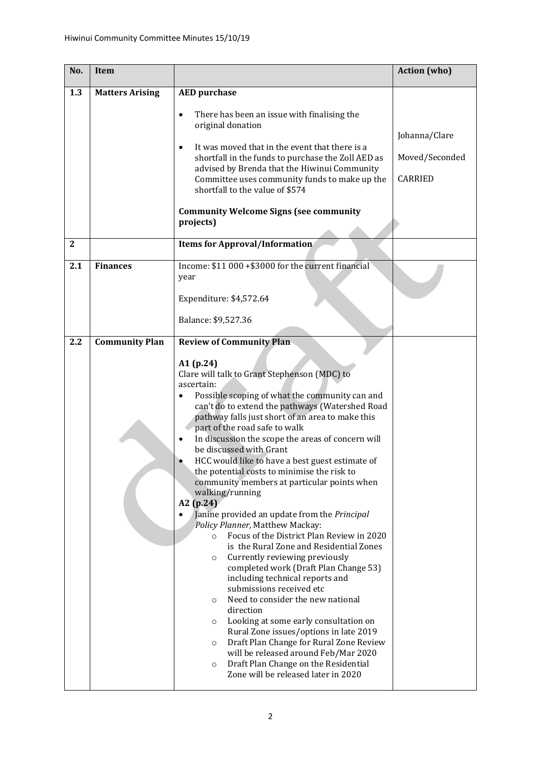| No.          | Item                   |                                                                                                                                                                                                                                                                                                                                                                                                                                                                                                                                                                                                                                                                                                                                                                                                                                                                                                                                                                                                                                                                                                                                                                                                                                                                                               | <b>Action</b> (who)                        |
|--------------|------------------------|-----------------------------------------------------------------------------------------------------------------------------------------------------------------------------------------------------------------------------------------------------------------------------------------------------------------------------------------------------------------------------------------------------------------------------------------------------------------------------------------------------------------------------------------------------------------------------------------------------------------------------------------------------------------------------------------------------------------------------------------------------------------------------------------------------------------------------------------------------------------------------------------------------------------------------------------------------------------------------------------------------------------------------------------------------------------------------------------------------------------------------------------------------------------------------------------------------------------------------------------------------------------------------------------------|--------------------------------------------|
| 1.3          | <b>Matters Arising</b> | <b>AED</b> purchase<br>There has been an issue with finalising the<br>$\bullet$<br>original donation<br>It was moved that in the event that there is a<br>$\bullet$<br>shortfall in the funds to purchase the Zoll AED as<br>advised by Brenda that the Hiwinui Community<br>Committee uses community funds to make up the<br>shortfall to the value of \$574<br><b>Community Welcome Signs (see community</b><br>projects)                                                                                                                                                                                                                                                                                                                                                                                                                                                                                                                                                                                                                                                                                                                                                                                                                                                                   | Johanna/Clare<br>Moved/Seconded<br>CARRIED |
| $\mathbf{2}$ |                        | <b>Items for Approval/Information</b>                                                                                                                                                                                                                                                                                                                                                                                                                                                                                                                                                                                                                                                                                                                                                                                                                                                                                                                                                                                                                                                                                                                                                                                                                                                         |                                            |
| 2.1          | <b>Finances</b>        | Income: \$11 000 +\$3000 for the current financial<br>year<br>Expenditure: \$4,572.64<br>Balance: \$9,527.36                                                                                                                                                                                                                                                                                                                                                                                                                                                                                                                                                                                                                                                                                                                                                                                                                                                                                                                                                                                                                                                                                                                                                                                  |                                            |
| 2.2          | <b>Community Plan</b>  | <b>Review of Community Plan</b><br>A1 (p.24)<br>Clare will talk to Grant Stephenson (MDC) to<br>ascertain:<br>Possible scoping of what the community can and<br>$\bullet$<br>can't do to extend the pathways (Watershed Road<br>pathway falls just short of an area to make this<br>part of the road safe to walk<br>In discussion the scope the areas of concern will<br>$\bullet$<br>be discussed with Grant<br>HCC would like to have a best guest estimate of<br>the potential costs to minimise the risk to<br>community members at particular points when<br>walking/running<br>A2 (p.24)<br>Janine provided an update from the Principal<br>Policy Planner, Matthew Mackay:<br>Focus of the District Plan Review in 2020<br>$\circ$<br>is the Rural Zone and Residential Zones<br>Currently reviewing previously<br>$\circ$<br>completed work (Draft Plan Change 53)<br>including technical reports and<br>submissions received etc<br>Need to consider the new national<br>$\circ$<br>direction<br>Looking at some early consultation on<br>$\circ$<br>Rural Zone issues/options in late 2019<br>Draft Plan Change for Rural Zone Review<br>$\circ$<br>will be released around Feb/Mar 2020<br>Draft Plan Change on the Residential<br>$\circ$<br>Zone will be released later in 2020 |                                            |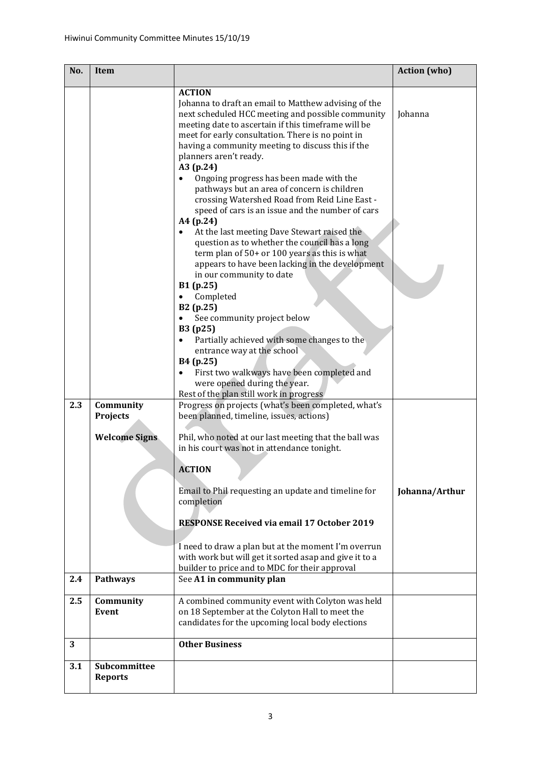| No. | Item                           |                                                                                                                                                                                         | <b>Action</b> (who) |
|-----|--------------------------------|-----------------------------------------------------------------------------------------------------------------------------------------------------------------------------------------|---------------------|
|     |                                | <b>ACTION</b><br>Johanna to draft an email to Matthew advising of the<br>next scheduled HCC meeting and possible community                                                              | Johanna             |
|     |                                | meeting date to ascertain if this timeframe will be<br>meet for early consultation. There is no point in<br>having a community meeting to discuss this if the<br>planners aren't ready. |                     |
|     |                                | A3 (p.24)<br>Ongoing progress has been made with the<br>pathways but an area of concern is children                                                                                     |                     |
|     |                                | crossing Watershed Road from Reid Line East -<br>speed of cars is an issue and the number of cars                                                                                       |                     |
|     |                                | A4 (p.24)<br>At the last meeting Dave Stewart raised the<br>$\bullet$<br>question as to whether the council has a long                                                                  |                     |
|     |                                | term plan of $50+$ or 100 years as this is what<br>appears to have been lacking in the development<br>in our community to date                                                          |                     |
|     |                                | B1 (p.25)<br>Completed                                                                                                                                                                  |                     |
|     |                                | B2 (p.25)<br>See community project below<br>B3 (p25)                                                                                                                                    |                     |
|     |                                | Partially achieved with some changes to the<br>entrance way at the school                                                                                                               |                     |
|     |                                | B4 (p.25)<br>First two walkways have been completed and<br>were opened during the year.<br>Rest of the plan still work in progress                                                      |                     |
| 2.3 | Community<br><b>Projects</b>   | Progress on projects (what's been completed, what's<br>been planned, timeline, issues, actions)                                                                                         |                     |
|     | <b>Welcome Signs</b>           | Phil, who noted at our last meeting that the ball was<br>in his court was not in attendance tonight.                                                                                    |                     |
|     |                                | <b>ACTION</b>                                                                                                                                                                           |                     |
|     |                                | Email to Phil requesting an update and timeline for<br>completion                                                                                                                       | Johanna/Arthur      |
|     |                                | <b>RESPONSE Received via email 17 October 2019</b>                                                                                                                                      |                     |
|     |                                | I need to draw a plan but at the moment I'm overrun<br>with work but will get it sorted asap and give it to a<br>builder to price and to MDC for their approval                         |                     |
| 2.4 | Pathways                       | See A1 in community plan                                                                                                                                                                |                     |
| 2.5 | Community<br>Event             | A combined community event with Colyton was held<br>on 18 September at the Colyton Hall to meet the<br>candidates for the upcoming local body elections                                 |                     |
| 3   |                                | <b>Other Business</b>                                                                                                                                                                   |                     |
| 3.1 | Subcommittee<br><b>Reports</b> |                                                                                                                                                                                         |                     |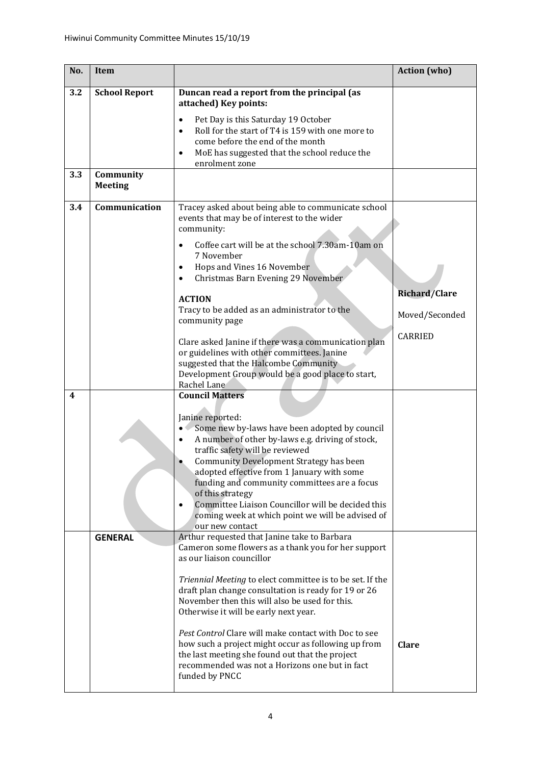| No. | <b>Item</b>                 |                                                                                                                                                                                                                                                                                                                                                                                                                                                                                    | <b>Action</b> (who)  |
|-----|-----------------------------|------------------------------------------------------------------------------------------------------------------------------------------------------------------------------------------------------------------------------------------------------------------------------------------------------------------------------------------------------------------------------------------------------------------------------------------------------------------------------------|----------------------|
| 3.2 | <b>School Report</b>        | Duncan read a report from the principal (as<br>attached) Key points:<br>Pet Day is this Saturday 19 October<br>$\bullet$<br>Roll for the start of T4 is 159 with one more to<br>$\bullet$<br>come before the end of the month<br>MoE has suggested that the school reduce the<br>$\bullet$<br>enrolment zone                                                                                                                                                                       |                      |
| 3.3 | Community<br><b>Meeting</b> |                                                                                                                                                                                                                                                                                                                                                                                                                                                                                    |                      |
| 3.4 | Communication               | Tracey asked about being able to communicate school<br>events that may be of interest to the wider<br>community:<br>Coffee cart will be at the school 7.30am-10am on<br>$\bullet$<br>7 November<br>Hops and Vines 16 November<br>$\bullet$                                                                                                                                                                                                                                         |                      |
|     |                             | Christmas Barn Evening 29 November<br>$\bullet$                                                                                                                                                                                                                                                                                                                                                                                                                                    |                      |
|     |                             | <b>ACTION</b>                                                                                                                                                                                                                                                                                                                                                                                                                                                                      | <b>Richard/Clare</b> |
|     |                             | Tracy to be added as an administrator to the<br>community page                                                                                                                                                                                                                                                                                                                                                                                                                     | Moved/Seconded       |
|     |                             | Clare asked Janine if there was a communication plan<br>or guidelines with other committees. Janine<br>suggested that the Halcombe Community<br>Development Group would be a good place to start,<br>Rachel Lane                                                                                                                                                                                                                                                                   | <b>CARRIED</b>       |
| 4   |                             | <b>Council Matters</b>                                                                                                                                                                                                                                                                                                                                                                                                                                                             |                      |
|     |                             | Janine reported:<br>Some new by-laws have been adopted by council<br>A number of other by-laws e.g. driving of stock,<br>$\bullet$<br>traffic safety will be reviewed<br><b>Community Development Strategy has been</b><br>adopted effective from 1 January with some<br>funding and community committees are a focus<br>of this strategy<br>Committee Liaison Councillor will be decided this<br>$\bullet$<br>coming week at which point we will be advised of<br>our new contact |                      |
|     | <b>GENERAL</b>              | Arthur requested that Janine take to Barbara<br>Cameron some flowers as a thank you for her support<br>as our liaison councillor                                                                                                                                                                                                                                                                                                                                                   |                      |
|     |                             | Triennial Meeting to elect committee is to be set. If the<br>draft plan change consultation is ready for 19 or 26<br>November then this will also be used for this.<br>Otherwise it will be early next year.<br>Pest Control Clare will make contact with Doc to see<br>how such a project might occur as following up from<br>the last meeting she found out that the project<br>recommended was not a Horizons one but in fact                                                   | <b>Clare</b>         |
|     |                             | funded by PNCC                                                                                                                                                                                                                                                                                                                                                                                                                                                                     |                      |